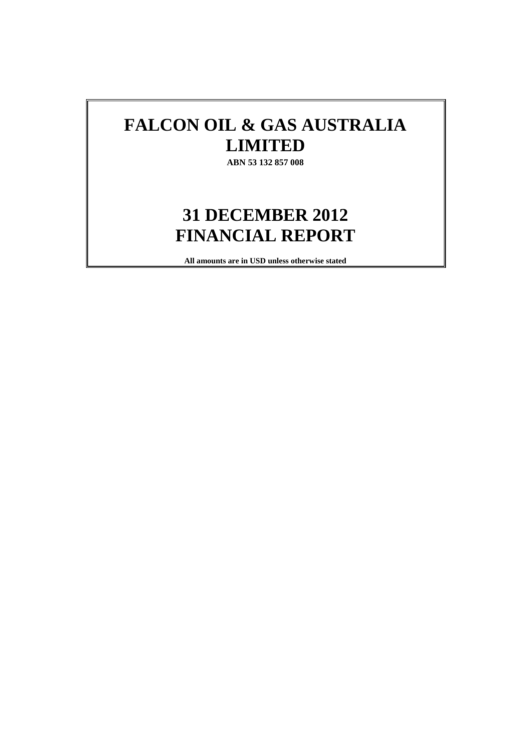**ABN 53 132 857 008**

# **31 DECEMBER 2012 FINANCIAL REPORT**

**All amounts are in USD unless otherwise stated**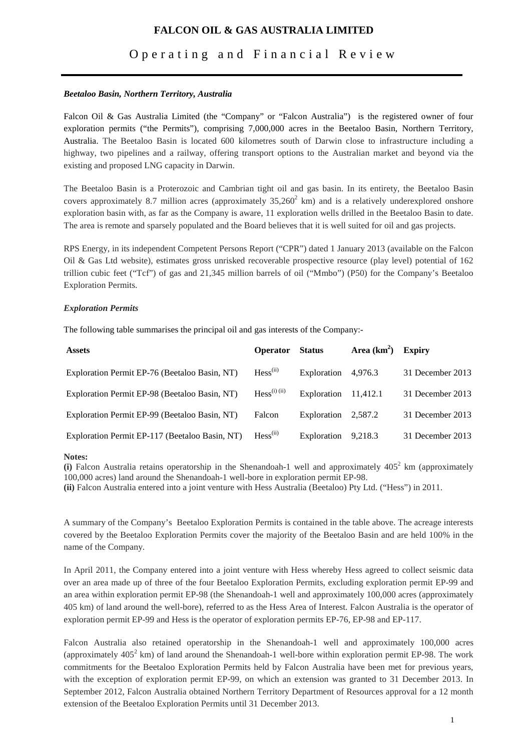# Operating and Financial Review

#### *Beetaloo Basin, Northern Territory, Australia*

Falcon Oil & Gas Australia Limited (the "Company" or "Falcon Australia") is the registered owner of four exploration permits ("the Permits"), comprising 7,000,000 acres in the Beetaloo Basin, Northern Territory, Australia. The Beetaloo Basin is located 600 kilometres south of Darwin close to infrastructure including a highway, two pipelines and a railway, offering transport options to the Australian market and beyond via the existing and proposed LNG capacity in Darwin.

The Beetaloo Basin is a Proterozoic and Cambrian tight oil and gas basin. In its entirety, the Beetaloo Basin covers approximately 8.7 million acres (approximately  $35,260^2$  km) and is a relatively underexplored onshore exploration basin with, as far as the Company is aware, 11 exploration wells drilled in the Beetaloo Basin to date. The area is remote and sparsely populated and the Board believes that it is well suited for oil and gas projects.

RPS Energy, in its independent Competent Persons Report ("CPR") dated 1 January 2013 (available on the Falcon Oil & Gas Ltd website), estimates gross unrisked recoverable prospective resource (play level) potential of 162 trillion cubic feet ("Tcf") of gas and 21,345 million barrels of oil ("Mmbo") (P50) for the Company's Beetaloo Exploration Permits.

#### *Exploration Permits*

The following table summarises the principal oil and gas interests of the Company:-

| <b>Assets</b>                                  | <b>Operator</b>      | <b>Status</b> | Area $(km^2)$ Expiry |                  |
|------------------------------------------------|----------------------|---------------|----------------------|------------------|
| Exploration Permit EP-76 (Beetaloo Basin, NT)  | Hess <sup>(ii)</sup> | Exploration   | 4.976.3              | 31 December 2013 |
| Exploration Permit EP-98 (Beetaloo Basin, NT)  | $Hess(i)$ (ii)       | Exploration   | 11.412.1             | 31 December 2013 |
| Exploration Permit EP-99 (Beetaloo Basin, NT)  | Falcon               | Exploration   | 2,587.2              | 31 December 2013 |
| Exploration Permit EP-117 (Beetaloo Basin, NT) | Hess <sup>(ii)</sup> | Exploration   | 9.218.3              | 31 December 2013 |

#### **Notes:**

(i) Falcon Australia retains operatorship in the Shenandoah-1 well and approximately  $405<sup>2</sup>$  km (approximately 100,000 acres) land around the Shenandoah-1 well-bore in exploration permit EP-98.

**(ii)** Falcon Australia entered into a joint venture with Hess Australia (Beetaloo) Pty Ltd. ("Hess") in 2011.

A summary of the Company's Beetaloo Exploration Permits is contained in the table above. The acreage interests covered by the Beetaloo Exploration Permits cover the majority of the Beetaloo Basin and are held 100% in the name of the Company.

In April 2011, the Company entered into a joint venture with Hess whereby Hess agreed to collect seismic data over an area made up of three of the four Beetaloo Exploration Permits, excluding exploration permit EP-99 and an area within exploration permit EP-98 (the Shenandoah-1 well and approximately 100,000 acres (approximately 405 km) of land around the well-bore), referred to as the Hess Area of Interest. Falcon Australia is the operator of exploration permit EP-99 and Hess is the operator of exploration permits EP-76, EP-98 and EP-117.

Falcon Australia also retained operatorship in the Shenandoah-1 well and approximately 100,000 acres (approximately  $405^2$  km) of land around the Shenandoah-1 well-bore within exploration permit EP-98. The work commitments for the Beetaloo Exploration Permits held by Falcon Australia have been met for previous years, with the exception of exploration permit EP-99, on which an extension was granted to 31 December 2013. In September 2012, Falcon Australia obtained Northern Territory Department of Resources approval for a 12 month extension of the Beetaloo Exploration Permits until 31 December 2013.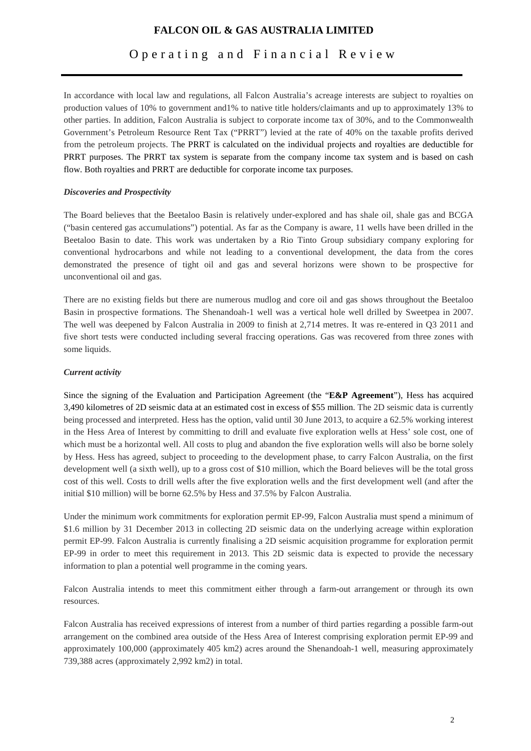Operating and Financial Review

In accordance with local law and regulations, all Falcon Australia's acreage interests are subject to royalties on production values of 10% to government and1% to native title holders/claimants and up to approximately 13% to other parties. In addition, Falcon Australia is subject to corporate income tax of 30%, and to the Commonwealth Government's Petroleum Resource Rent Tax ("PRRT") levied at the rate of 40% on the taxable profits derived from the petroleum projects. The PRRT is calculated on the individual projects and royalties are deductible for PRRT purposes. The PRRT tax system is separate from the company income tax system and is based on cash flow. Both royalties and PRRT are deductible for corporate income tax purposes.

#### *Discoveries and Prospectivity*

The Board believes that the Beetaloo Basin is relatively under-explored and has shale oil, shale gas and BCGA ("basin centered gas accumulations") potential. As far as the Company is aware, 11 wells have been drilled in the Beetaloo Basin to date. This work was undertaken by a Rio Tinto Group subsidiary company exploring for conventional hydrocarbons and while not leading to a conventional development, the data from the cores demonstrated the presence of tight oil and gas and several horizons were shown to be prospective for unconventional oil and gas.

There are no existing fields but there are numerous mudlog and core oil and gas shows throughout the Beetaloo Basin in prospective formations. The Shenandoah-1 well was a vertical hole well drilled by Sweetpea in 2007. The well was deepened by Falcon Australia in 2009 to finish at 2,714 metres. It was re-entered in Q3 2011 and five short tests were conducted including several fraccing operations. Gas was recovered from three zones with some liquids.

#### *Current activity*

Since the signing of the Evaluation and Participation Agreement (the "**E&P Agreement**"), Hess has acquired 3,490 kilometres of 2D seismic data at an estimated cost in excess of \$55 million. The 2D seismic data is currently being processed and interpreted. Hess has the option, valid until 30 June 2013, to acquire a 62.5% working interest in the Hess Area of Interest by committing to drill and evaluate five exploration wells at Hess' sole cost, one of which must be a horizontal well. All costs to plug and abandon the five exploration wells will also be borne solely by Hess. Hess has agreed, subject to proceeding to the development phase, to carry Falcon Australia, on the first development well (a sixth well), up to a gross cost of \$10 million, which the Board believes will be the total gross cost of this well. Costs to drill wells after the five exploration wells and the first development well (and after the initial \$10 million) will be borne 62.5% by Hess and 37.5% by Falcon Australia.

Under the minimum work commitments for exploration permit EP-99, Falcon Australia must spend a minimum of \$1.6 million by 31 December 2013 in collecting 2D seismic data on the underlying acreage within exploration permit EP-99. Falcon Australia is currently finalising a 2D seismic acquisition programme for exploration permit EP-99 in order to meet this requirement in 2013. This 2D seismic data is expected to provide the necessary information to plan a potential well programme in the coming years.

Falcon Australia intends to meet this commitment either through a farm-out arrangement or through its own resources.

Falcon Australia has received expressions of interest from a number of third parties regarding a possible farm-out arrangement on the combined area outside of the Hess Area of Interest comprising exploration permit EP-99 and approximately 100,000 (approximately 405 km2) acres around the Shenandoah-1 well, measuring approximately 739,388 acres (approximately 2,992 km2) in total.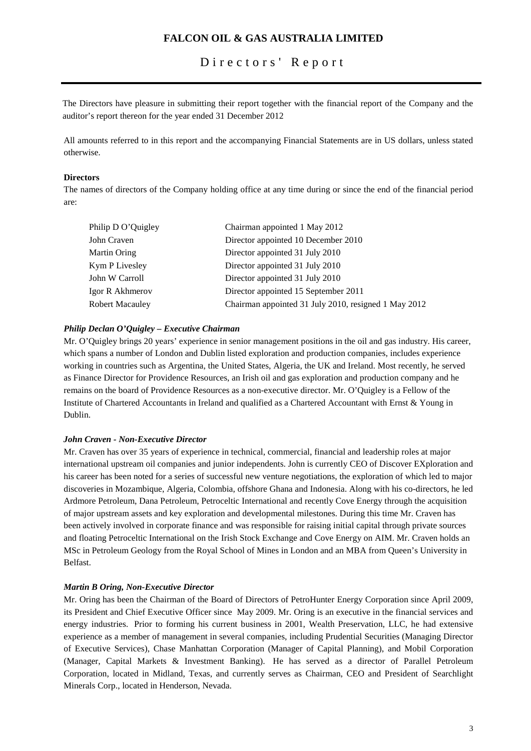Directors' Report

The Directors have pleasure in submitting their report together with the financial report of the Company and the auditor's report thereon for the year ended 31 December 2012

All amounts referred to in this report and the accompanying Financial Statements are in US dollars, unless stated otherwise.

#### **Directors**

The names of directors of the Company holding office at any time during or since the end of the financial period are:

| Philip D O'Quigley     | Chairman appointed 1 May 2012                        |
|------------------------|------------------------------------------------------|
| John Craven            | Director appointed 10 December 2010                  |
| Martin Oring           | Director appointed 31 July 2010                      |
| Kym P Livesley         | Director appointed 31 July 2010                      |
| John W Carroll         | Director appointed 31 July 2010                      |
| Igor R Akhmerov        | Director appointed 15 September 2011                 |
| <b>Robert Macauley</b> | Chairman appointed 31 July 2010, resigned 1 May 2012 |

#### *Philip Declan O'Quigley – Executive Chairman*

Mr. O'Quigley brings 20 years' experience in senior management positions in the oil and gas industry. His career, which spans a number of London and Dublin listed exploration and production companies, includes experience working in countries such as Argentina, the United States, Algeria, the UK and Ireland. Most recently, he served as Finance Director for Providence Resources, an Irish oil and gas exploration and production company and he remains on the board of Providence Resources as a non-executive director. Mr. O'Quigley is a Fellow of the Institute of Chartered Accountants in Ireland and qualified as a Chartered Accountant with Ernst & Young in Dublin.

#### *John Craven - Non-Executive Director*

Mr. Craven has over 35 years of experience in technical, commercial, financial and leadership roles at major international upstream oil companies and junior independents. John is currently CEO of Discover EXploration and his career has been noted for a series of successful new venture negotiations, the exploration of which led to major discoveries in Mozambique, Algeria, Colombia, offshore Ghana and Indonesia. Along with his co-directors, he led Ardmore Petroleum, Dana Petroleum, Petroceltic International and recently Cove Energy through the acquisition of major upstream assets and key exploration and developmental milestones. During this time Mr. Craven has been actively involved in corporate finance and was responsible for raising initial capital through private sources and floating Petroceltic International on the Irish Stock Exchange and Cove Energy on AIM. Mr. Craven holds an MSc in Petroleum Geology from the Royal School of Mines in London and an MBA from Queen's University in Belfast.

#### *Martin B Oring, Non-Executive Director*

Mr. Oring has been the Chairman of the Board of Directors of PetroHunter Energy Corporation since April 2009, its President and Chief Executive Officer since May 2009. Mr. Oring is an executive in the financial services and energy industries. Prior to forming his current business in 2001, Wealth Preservation, LLC, he had extensive experience as a member of management in several companies, including Prudential Securities (Managing Director of Executive Services), Chase Manhattan Corporation (Manager of Capital Planning), and Mobil Corporation (Manager, Capital Markets & Investment Banking). He has served as a director of Parallel Petroleum Corporation, located in Midland, Texas, and currently serves as Chairman, CEO and President of Searchlight Minerals Corp., located in Henderson, Nevada.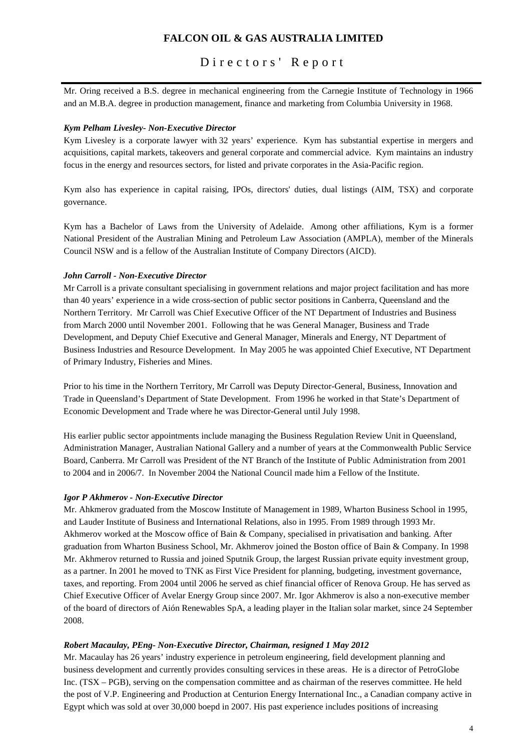### Directors' Report

Mr. Oring received a B.S. degree in mechanical engineering from the Carnegie Institute of Technology in 1966 and an M.B.A. degree in production management, finance and marketing from Columbia University in 1968.

#### *Kym Pelham Livesley- Non-Executive Director*

Kym Livesley is a corporate lawyer with 32 years' experience. Kym has substantial expertise in mergers and acquisitions, capital markets, takeovers and general corporate and commercial advice. Kym maintains an industry focus in the energy and resources sectors, for listed and private corporates in the Asia-Pacific region.

Kym also has experience in capital raising, IPOs, directors' duties, dual listings (AIM, TSX) and corporate governance.

Kym has a Bachelor of Laws from the University of Adelaide. Among other affiliations, Kym is a former National President of the Australian Mining and Petroleum Law Association (AMPLA), member of the Minerals Council NSW and is a fellow of the Australian Institute of Company Directors (AICD).

#### *John Carroll - Non-Executive Director*

Mr Carroll is a private consultant specialising in government relations and major project facilitation and has more than 40 years' experience in a wide cross-section of public sector positions in Canberra, Queensland and the Northern Territory. Mr Carroll was Chief Executive Officer of the NT Department of Industries and Business from March 2000 until November 2001. Following that he was General Manager, Business and Trade Development, and Deputy Chief Executive and General Manager, Minerals and Energy, NT Department of Business Industries and Resource Development. In May 2005 he was appointed Chief Executive, NT Department of Primary Industry, Fisheries and Mines.

Prior to his time in the Northern Territory, Mr Carroll was Deputy Director-General, Business, Innovation and Trade in Queensland's Department of State Development. From 1996 he worked in that State's Department of Economic Development and Trade where he was Director-General until July 1998.

His earlier public sector appointments include managing the Business Regulation Review Unit in Queensland, Administration Manager, Australian National Gallery and a number of years at the Commonwealth Public Service Board, Canberra. Mr Carroll was President of the NT Branch of the Institute of Public Administration from 2001 to 2004 and in 2006/7. In November 2004 the National Council made him a Fellow of the Institute.

#### *Igor P Akhmerov - Non-Executive Director*

Mr. Ahkmerov graduated from the Moscow Institute of Management in 1989, Wharton Business School in 1995, and Lauder Institute of Business and International Relations, also in 1995. From 1989 through 1993 Mr. Akhmerov worked at the Moscow office of Bain & Company, specialised in privatisation and banking. After graduation from Wharton Business School, Mr. Akhmerov joined the Boston office of Bain & Company. In 1998 Mr. Akhmerov returned to Russia and joined Sputnik Group, the largest Russian private equity investment group, as a partner. In 2001 he moved to TNK as First Vice President for planning, budgeting, investment governance, taxes, and reporting. From 2004 until 2006 he served as chief financial officer of Renova Group. He has served as Chief Executive Officer of Avelar Energy Group since 2007. Mr. Igor Akhmerov is also a non-executive member of the board of directors of Aión Renewables SpA, a leading player in the Italian solar market, since 24 September 2008.

#### *Robert Macaulay, PEng- Non-Executive Director, Chairman, resigned 1 May 2012*

Mr. Macaulay has 26 years' industry experience in petroleum engineering, field development planning and business development and currently provides consulting services in these areas. He is a director of PetroGlobe Inc. (TSX – PGB), serving on the compensation committee and as chairman of the reserves committee. He held the post of V.P. Engineering and Production at Centurion Energy International Inc., a Canadian company active in Egypt which was sold at over 30,000 boepd in 2007. His past experience includes positions of increasing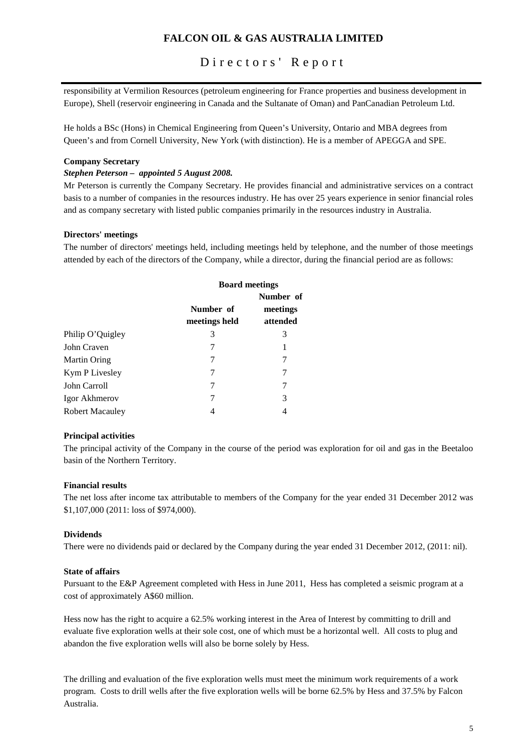Directors' Report

responsibility at Vermilion Resources (petroleum engineering for France properties and business development in Europe), Shell (reservoir engineering in Canada and the Sultanate of Oman) and PanCanadian Petroleum Ltd.

He holds a BSc (Hons) in Chemical Engineering from Queen's University, Ontario and MBA degrees from Queen's and from Cornell University, New York (with distinction). He is a member of APEGGA and SPE.

#### **Company Secretary**

#### *Stephen Peterson – appointed 5 August 2008.*

Mr Peterson is currently the Company Secretary. He provides financial and administrative services on a contract basis to a number of companies in the resources industry. He has over 25 years experience in senior financial roles and as company secretary with listed public companies primarily in the resources industry in Australia.

#### **Directors' meetings**

The number of directors' meetings held, including meetings held by telephone, and the number of those meetings attended by each of the directors of the Company, while a director, during the financial period are as follows:

|                        | <b>Board meetings</b> |           |  |
|------------------------|-----------------------|-----------|--|
|                        |                       | Number of |  |
|                        | Number of             | meetings  |  |
|                        | meetings held         | attended  |  |
| Philip O'Quigley       | 3                     | 3         |  |
| John Craven            | 7                     |           |  |
| <b>Martin Oring</b>    | 7                     |           |  |
| Kym P Livesley         | 7                     |           |  |
| John Carroll           | 7                     |           |  |
| Igor Akhmerov          | 7                     | 3         |  |
| <b>Robert Macauley</b> | 4                     | 4         |  |

#### **Principal activities**

The principal activity of the Company in the course of the period was exploration for oil and gas in the Beetaloo basin of the Northern Territory.

#### **Financial results**

The net loss after income tax attributable to members of the Company for the year ended 31 December 2012 was \$1,107,000 (2011: loss of \$974,000).

#### **Dividends**

There were no dividends paid or declared by the Company during the year ended 31 December 2012, (2011: nil).

#### **State of affairs**

Pursuant to the E&P Agreement completed with Hess in June 2011, Hess has completed a seismic program at a cost of approximately A\$60 million.

Hess now has the right to acquire a 62.5% working interest in the Area of Interest by committing to drill and evaluate five exploration wells at their sole cost, one of which must be a horizontal well. All costs to plug and abandon the five exploration wells will also be borne solely by Hess.

The drilling and evaluation of the five exploration wells must meet the minimum work requirements of a work program. Costs to drill wells after the five exploration wells will be borne 62.5% by Hess and 37.5% by Falcon Australia.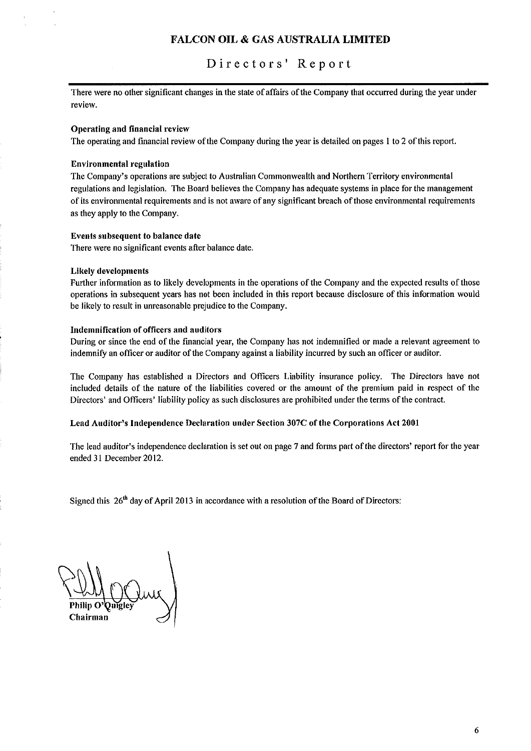# Directors' Report

There were no other significant changes in the state of affairs of the Company that occurred during the year under review.

#### Operating and financial review

The operating and financial review of the Company during the year is detailed on pages 1 to 2 of this report.

#### **Environmental regulation**

The Company's operations are subject to Australian Commonwealth and Northern Territory environmental regulations and legislation. The Board believes the Company has adequate systems in place for the management of its environmental requirements and is not aware of any significant breach of those environmental requirements as they apply to the Company.

#### **Events subsequent to balance date**

There were no significant events after balance date.

#### **Likely developments**

Further information as to likely developments in the operations of the Company and the expected results of those operations in subsequent years has not been included in this report because disclosure of this information would be likely to result in unreasonable prejudice to the Company.

#### Indemnification of officers and auditors

During or since the end of the financial year, the Company has not indemnified or made a relevant agreement to indemnify an officer or auditor of the Company against a liability incurred by such an officer or auditor.

The Company has established a Directors and Officers Liability insurance policy. The Directors have not included details of the nature of the liabilities covered or the amount of the premium paid in respect of the Directors' and Officers' liability policy as such disclosures are prohibited under the terms of the contract.

#### Lead Auditor's Independence Declaration under Section 307C of the Corporations Act 2001

The lead auditor's independence declaration is set out on page 7 and forms part of the directors' report for the year ended 31 December 2012.

Signed this 26<sup>th</sup> day of April 2013 in accordance with a resolution of the Board of Directors:

Chairman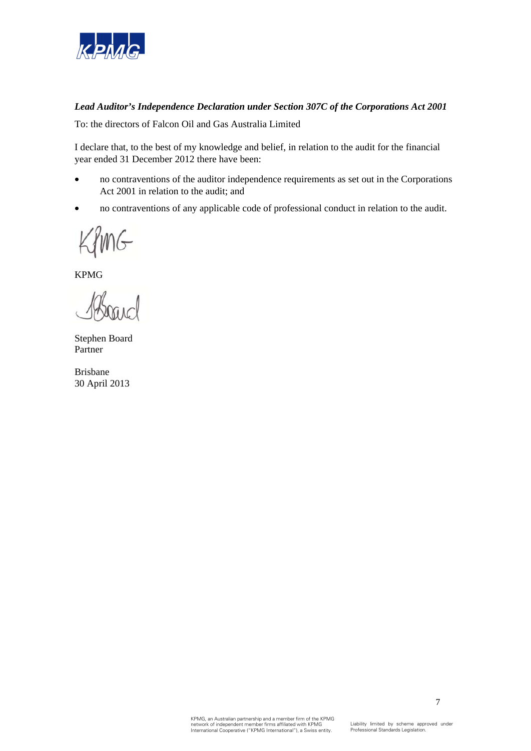

### *Lead Auditor's Independence Declaration under Section 307C of the Corporations Act 2001*

To: the directors of Falcon Oil and Gas Australia Limited

I declare that, to the best of my knowledge and belief, in relation to the audit for the financial year ended 31 December 2012 there have been:

- no contraventions of the auditor independence requirements as set out in the Corporations Act 2001 in relation to the audit; and
- no contraventions of any applicable code of professional conduct in relation to the audit.

MG

KPMG

Stephen Board Partner

Brisbane 30 April 2013

> KPMG, an Australian partnership and a member firm of the KPMG network of independent member firms affiliated with KPMG International Cooperative ("KPMG International"), a Swiss entity.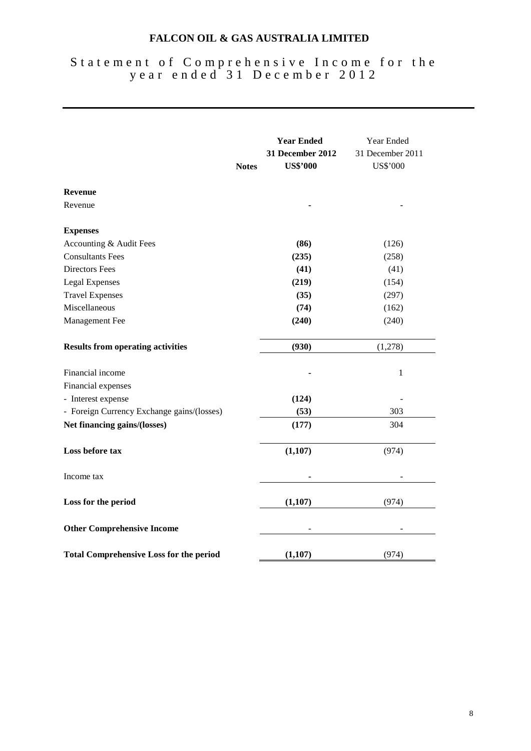# Statement of Comprehensive Income for the year ended 31 December 2012

|                                                | <b>Notes</b> | <b>Year Ended</b><br>31 December 2012<br><b>US\$'000</b> | Year Ended<br>31 December 2011<br>US\$'000 |
|------------------------------------------------|--------------|----------------------------------------------------------|--------------------------------------------|
| Revenue                                        |              |                                                          |                                            |
| Revenue                                        |              |                                                          |                                            |
| <b>Expenses</b>                                |              |                                                          |                                            |
| Accounting & Audit Fees                        |              | (86)                                                     | (126)                                      |
| <b>Consultants Fees</b>                        |              | (235)                                                    | (258)                                      |
| <b>Directors Fees</b>                          |              | (41)                                                     | (41)                                       |
| <b>Legal Expenses</b>                          |              | (219)                                                    | (154)                                      |
| <b>Travel Expenses</b>                         |              | (35)                                                     | (297)                                      |
| Miscellaneous                                  |              | (74)                                                     | (162)                                      |
| Management Fee                                 |              | (240)                                                    | (240)                                      |
| <b>Results from operating activities</b>       |              | (930)                                                    | (1,278)                                    |
| Financial income                               |              |                                                          | $\mathbf{1}$                               |
| Financial expenses                             |              |                                                          |                                            |
| - Interest expense                             |              | (124)                                                    |                                            |
| - Foreign Currency Exchange gains/(losses)     |              | (53)                                                     | 303                                        |
| Net financing gains/(losses)                   |              | (177)                                                    | 304                                        |
| Loss before tax                                |              | (1,107)                                                  | (974)                                      |
| Income tax                                     |              |                                                          |                                            |
| Loss for the period                            |              | (1,107)                                                  | (974)                                      |
| <b>Other Comprehensive Income</b>              |              |                                                          |                                            |
| <b>Total Comprehensive Loss for the period</b> |              | (1,107)                                                  | (974)                                      |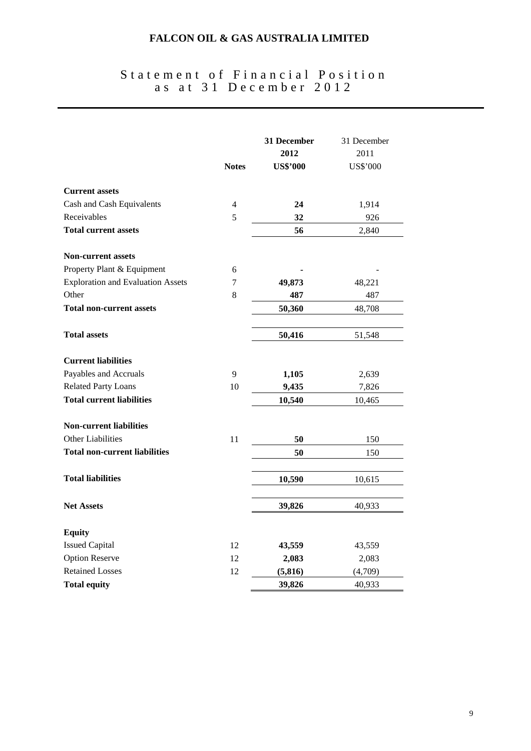# Statement of Financial Position as at 31 December 2012

|                                          |              | 31 December     | 31 December     |
|------------------------------------------|--------------|-----------------|-----------------|
|                                          |              | 2012            | 2011            |
|                                          | <b>Notes</b> | <b>US\$'000</b> | <b>US\$'000</b> |
| <b>Current assets</b>                    |              |                 |                 |
| Cash and Cash Equivalents                | 4            | 24              | 1,914           |
| Receivables                              | 5            | 32              | 926             |
| <b>Total current assets</b>              |              | 56              | 2,840           |
| <b>Non-current assets</b>                |              |                 |                 |
| Property Plant & Equipment               | 6            |                 |                 |
| <b>Exploration and Evaluation Assets</b> | 7            | 49,873          | 48,221          |
| Other                                    | 8            | 487             | 487             |
| <b>Total non-current assets</b>          |              | 50,360          | 48,708          |
| <b>Total assets</b>                      |              | 50,416          | 51,548          |
| <b>Current liabilities</b>               |              |                 |                 |
| Payables and Accruals                    | 9            | 1,105           | 2,639           |
| <b>Related Party Loans</b>               | 10           | 9,435           | 7,826           |
| <b>Total current liabilities</b>         |              | 10,540          | 10,465          |
| <b>Non-current liabilities</b>           |              |                 |                 |
| <b>Other Liabilities</b>                 | 11           | 50              | 150             |
| <b>Total non-current liabilities</b>     |              | 50              | 150             |
| <b>Total liabilities</b>                 |              | 10,590          | 10,615          |
| <b>Net Assets</b>                        |              | 39,826          | 40,933          |
| <b>Equity</b>                            |              |                 |                 |
| <b>Issued Capital</b>                    | 12           | 43,559          | 43,559          |
| <b>Option Reserve</b>                    | 12           | 2,083           | 2,083           |
| <b>Retained Losses</b>                   | 12           | (5, 816)        | (4,709)         |
| <b>Total equity</b>                      |              | 39,826          | 40,933          |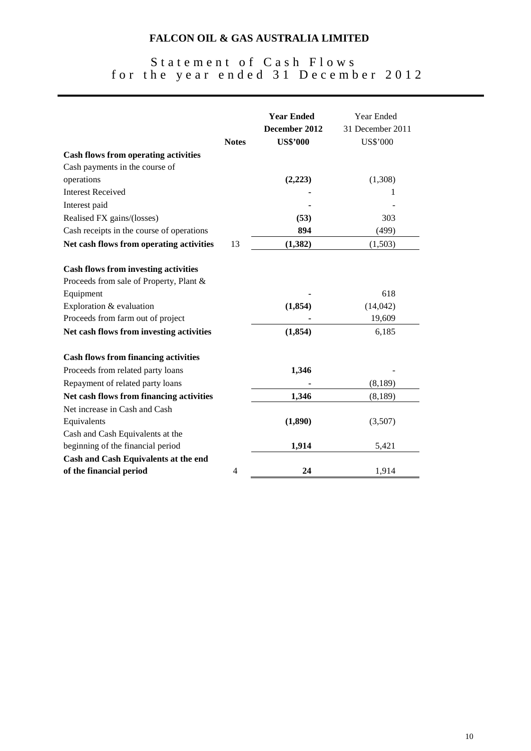# Statement of Cash Flows for the year ended 31 December 2012

|                                                                                        |              | <b>Year Ended</b><br>December 2012 | Year Ended<br>31 December 2011 |
|----------------------------------------------------------------------------------------|--------------|------------------------------------|--------------------------------|
|                                                                                        | <b>Notes</b> | <b>US\$'000</b>                    | <b>US\$'000</b>                |
| <b>Cash flows from operating activities</b>                                            |              |                                    |                                |
| Cash payments in the course of                                                         |              |                                    |                                |
| operations                                                                             |              | (2,223)                            | (1,308)                        |
| <b>Interest Received</b>                                                               |              |                                    | 1                              |
| Interest paid                                                                          |              |                                    |                                |
| Realised FX gains/(losses)                                                             |              | (53)                               | 303                            |
| Cash receipts in the course of operations                                              |              | 894                                | (499)                          |
| Net cash flows from operating activities                                               | 13           | (1, 382)                           | (1,503)                        |
| <b>Cash flows from investing activities</b><br>Proceeds from sale of Property, Plant & |              |                                    |                                |
| Equipment                                                                              |              |                                    | 618                            |
| Exploration & evaluation                                                               |              | (1, 854)                           | (14, 042)                      |
| Proceeds from farm out of project                                                      |              |                                    | 19,609                         |
| Net cash flows from investing activities                                               |              | (1, 854)                           | 6,185                          |
| <b>Cash flows from financing activities</b>                                            |              |                                    |                                |
| Proceeds from related party loans                                                      |              | 1,346                              |                                |
| Repayment of related party loans                                                       |              |                                    | (8, 189)                       |
| Net cash flows from financing activities                                               |              | 1,346                              | (8,189)                        |
| Net increase in Cash and Cash                                                          |              |                                    |                                |
| Equivalents                                                                            |              | (1,890)                            | (3,507)                        |
| Cash and Cash Equivalents at the                                                       |              |                                    |                                |
| beginning of the financial period                                                      |              | 1,914                              | 5,421                          |
| Cash and Cash Equivalents at the end                                                   |              |                                    |                                |
| of the financial period                                                                | 4            | 24                                 | 1,914                          |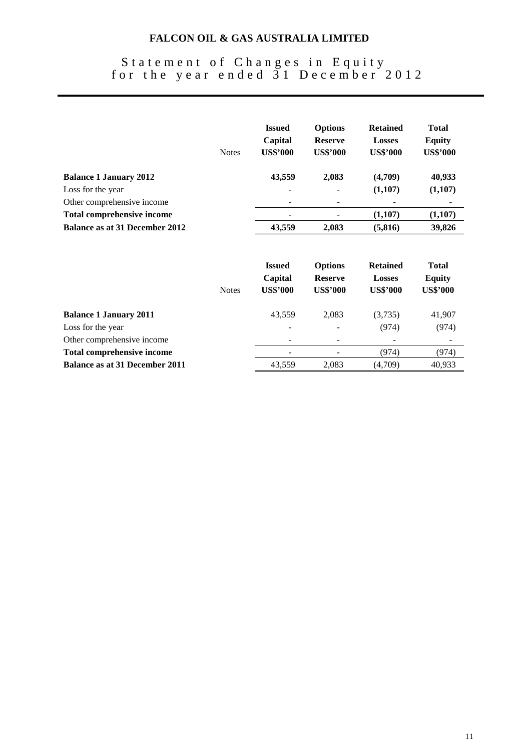# Statement of Changes in Equity for the year ended 31 December 2012

|                                       | <b>Notes</b> | <b>Issued</b><br>Capital<br><b>US\$'000</b> | <b>Options</b><br><b>Reserve</b><br><b>US\$'000</b> | <b>Retained</b><br><b>Losses</b><br><b>US\$'000</b> | <b>Total</b><br><b>Equity</b><br><b>US\$'000</b> |
|---------------------------------------|--------------|---------------------------------------------|-----------------------------------------------------|-----------------------------------------------------|--------------------------------------------------|
| <b>Balance 1 January 2012</b>         |              | 43,559                                      | 2,083                                               | (4,709)                                             | 40,933                                           |
| Loss for the year                     |              |                                             |                                                     | (1,107)                                             | (1,107)                                          |
| Other comprehensive income            |              | -                                           |                                                     |                                                     |                                                  |
| Total comprehensive income            |              |                                             |                                                     | (1,107)                                             | (1,107)                                          |
| <b>Balance as at 31 December 2012</b> |              | 43,559                                      | 2,083                                               | (5, 816)                                            | 39,826                                           |

|                                       |              | <b>Issued</b>   | <b>Options</b>  | <b>Retained</b>          | <b>Total</b>    |
|---------------------------------------|--------------|-----------------|-----------------|--------------------------|-----------------|
|                                       |              | Capital         | <b>Reserve</b>  | <b>Losses</b>            | <b>Equity</b>   |
|                                       | <b>Notes</b> | <b>US\$'000</b> | <b>US\$'000</b> | <b>US\$'000</b>          | <b>US\$'000</b> |
| <b>Balance 1 January 2011</b>         |              | 43,559          | 2,083           | (3,735)                  | 41,907          |
| Loss for the year                     |              |                 |                 | (974)                    | (974)           |
| Other comprehensive income            |              | -               |                 | $\overline{\phantom{0}}$ |                 |
| <b>Total comprehensive income</b>     |              |                 |                 | (974)                    | (974)           |
| <b>Balance as at 31 December 2011</b> |              | 43.559          | 2.083           | (4,709)                  | 40,933          |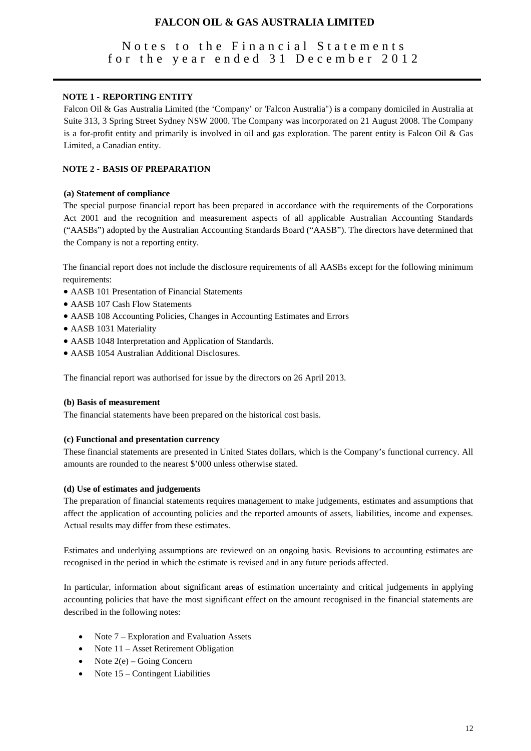# Notes to the Financial Statements for the year ended 31 December 2012

#### **NOTE 1 - REPORTING ENTITY**

Falcon Oil & Gas Australia Limited (the 'Company' or 'Falcon Australia") is a company domiciled in Australia at Suite 313, 3 Spring Street Sydney NSW 2000. The Company was incorporated on 21 August 2008. The Company is a for-profit entity and primarily is involved in oil and gas exploration. The parent entity is Falcon Oil & Gas Limited, a Canadian entity.

#### **NOTE 2 - BASIS OF PREPARATION**

#### **(a) Statement of compliance**

The special purpose financial report has been prepared in accordance with the requirements of the Corporations Act 2001 and the recognition and measurement aspects of all applicable Australian Accounting Standards ("AASBs") adopted by the Australian Accounting Standards Board ("AASB"). The directors have determined that the Company is not a reporting entity.

The financial report does not include the disclosure requirements of all AASBs except for the following minimum requirements:

- AASB 101 Presentation of Financial Statements
- AASB 107 Cash Flow Statements
- AASB 108 Accounting Policies, Changes in Accounting Estimates and Errors
- AASB 1031 Materiality
- AASB 1048 Interpretation and Application of Standards.
- AASB 1054 Australian Additional Disclosures.

The financial report was authorised for issue by the directors on 26 April 2013.

#### **(b) Basis of measurement**

The financial statements have been prepared on the historical cost basis.

#### **(c) Functional and presentation currency**

These financial statements are presented in United States dollars, which is the Company's functional currency. All amounts are rounded to the nearest \$'000 unless otherwise stated.

#### **(d) Use of estimates and judgements**

The preparation of financial statements requires management to make judgements, estimates and assumptions that affect the application of accounting policies and the reported amounts of assets, liabilities, income and expenses. Actual results may differ from these estimates.

Estimates and underlying assumptions are reviewed on an ongoing basis. Revisions to accounting estimates are recognised in the period in which the estimate is revised and in any future periods affected.

In particular, information about significant areas of estimation uncertainty and critical judgements in applying accounting policies that have the most significant effect on the amount recognised in the financial statements are described in the following notes:

- Note 7 Exploration and Evaluation Assets
- Note 11 Asset Retirement Obligation
- Note  $2(e)$  Going Concern
- Note  $15$  Contingent Liabilities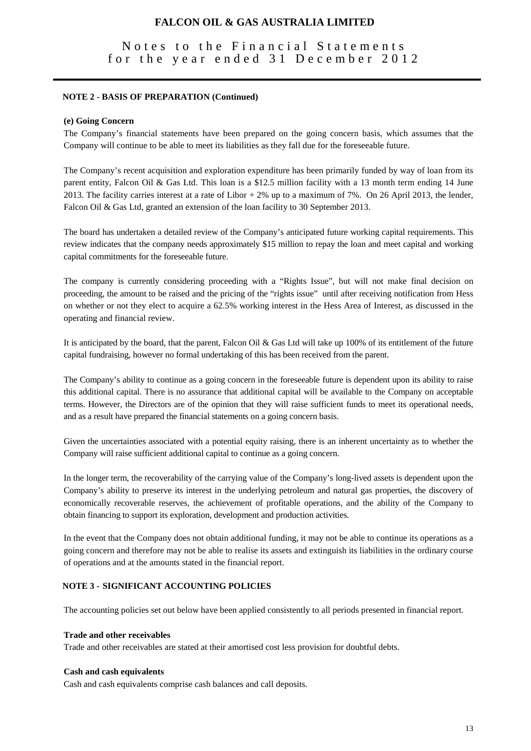# Notes to the Financial Statements for the year ended 31 December 2012

#### **NOTE 2 - BASIS OF PREPARATION (Continued)**

#### **(e) Going Concern**

The Company's financial statements have been prepared on the going concern basis, which assumes that the Company will continue to be able to meet its liabilities as they fall due for the foreseeable future.

The Company's recent acquisition and exploration expenditure has been primarily funded by way of loan from its parent entity, Falcon Oil & Gas Ltd. This loan is a \$12.5 million facility with a 13 month term ending 14 June 2013. The facility carries interest at a rate of Libor  $+2\%$  up to a maximum of 7%. On 26 April 2013, the lender, Falcon Oil & Gas Ltd, granted an extension of the loan facility to 30 September 2013.

The board has undertaken a detailed review of the Company's anticipated future working capital requirements. This review indicates that the company needs approximately \$15 million to repay the loan and meet capital and working capital commitments for the foreseeable future.

The company is currently considering proceeding with a "Rights Issue", but will not make final decision on proceeding, the amount to be raised and the pricing of the "rights issue" until after receiving notification from Hess on whether or not they elect to acquire a 62.5% working interest in the Hess Area of Interest, as discussed in the operating and financial review.

It is anticipated by the board, that the parent, Falcon Oil & Gas Ltd will take up 100% of its entitlement of the future capital fundraising, however no formal undertaking of this has been received from the parent.

The Company's ability to continue as a going concern in the foreseeable future is dependent upon its ability to raise this additional capital. There is no assurance that additional capital will be available to the Company on acceptable terms. However, the Directors are of the opinion that they will raise sufficient funds to meet its operational needs, and as a result have prepared the financial statements on a going concern basis.

Given the uncertainties associated with a potential equity raising, there is an inherent uncertainty as to whether the Company will raise sufficient additional capital to continue as a going concern.

In the longer term, the recoverability of the carrying value of the Company's long-lived assets is dependent upon the Company's ability to preserve its interest in the underlying petroleum and natural gas properties, the discovery of economically recoverable reserves, the achievement of profitable operations, and the ability of the Company to obtain financing to support its exploration, development and production activities.

In the event that the Company does not obtain additional funding, it may not be able to continue its operations as a going concern and therefore may not be able to realise its assets and extinguish its liabilities in the ordinary course of operations and at the amounts stated in the financial report.

#### **NOTE 3 - SIGNIFICANT ACCOUNTING POLICIES**

The accounting policies set out below have been applied consistently to all periods presented in financial report.

#### **Trade and other receivables**

Trade and other receivables are stated at their amortised cost less provision for doubtful debts.

#### **Cash and cash equivalents**

Cash and cash equivalents comprise cash balances and call deposits.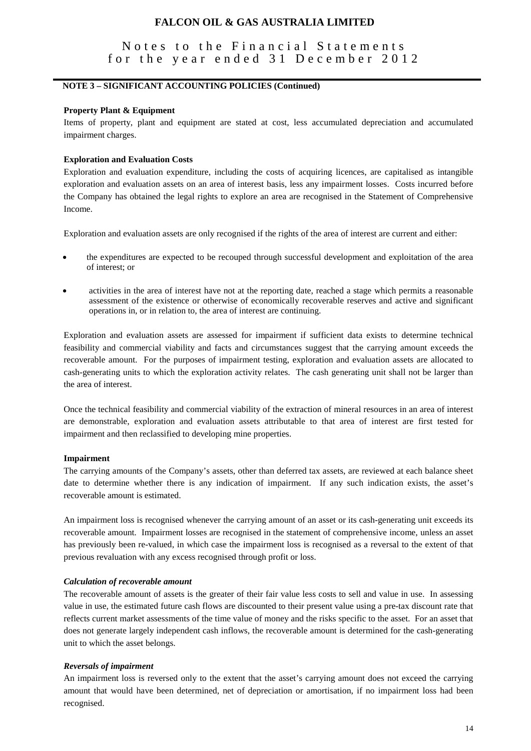# Notes to the Financial Statements for the year ended 31 December 2012

#### **NOTE 3 – SIGNIFICANT ACCOUNTING POLICIES (Continued)**

#### **Property Plant & Equipment**

Items of property, plant and equipment are stated at cost, less accumulated depreciation and accumulated impairment charges.

#### **Exploration and Evaluation Costs**

Exploration and evaluation expenditure, including the costs of acquiring licences, are capitalised as intangible exploration and evaluation assets on an area of interest basis, less any impairment losses. Costs incurred before the Company has obtained the legal rights to explore an area are recognised in the Statement of Comprehensive Income.

Exploration and evaluation assets are only recognised if the rights of the area of interest are current and either:

- the expenditures are expected to be recouped through successful development and exploitation of the area of interest; or
- activities in the area of interest have not at the reporting date, reached a stage which permits a reasonable assessment of the existence or otherwise of economically recoverable reserves and active and significant operations in, or in relation to, the area of interest are continuing.

Exploration and evaluation assets are assessed for impairment if sufficient data exists to determine technical feasibility and commercial viability and facts and circumstances suggest that the carrying amount exceeds the recoverable amount. For the purposes of impairment testing, exploration and evaluation assets are allocated to cash-generating units to which the exploration activity relates. The cash generating unit shall not be larger than the area of interest.

Once the technical feasibility and commercial viability of the extraction of mineral resources in an area of interest are demonstrable, exploration and evaluation assets attributable to that area of interest are first tested for impairment and then reclassified to developing mine properties.

#### **Impairment**

The carrying amounts of the Company's assets, other than deferred tax assets, are reviewed at each balance sheet date to determine whether there is any indication of impairment. If any such indication exists, the asset's recoverable amount is estimated.

An impairment loss is recognised whenever the carrying amount of an asset or its cash-generating unit exceeds its recoverable amount. Impairment losses are recognised in the statement of comprehensive income, unless an asset has previously been re-valued, in which case the impairment loss is recognised as a reversal to the extent of that previous revaluation with any excess recognised through profit or loss.

#### *Calculation of recoverable amount*

The recoverable amount of assets is the greater of their fair value less costs to sell and value in use. In assessing value in use, the estimated future cash flows are discounted to their present value using a pre-tax discount rate that reflects current market assessments of the time value of money and the risks specific to the asset. For an asset that does not generate largely independent cash inflows, the recoverable amount is determined for the cash-generating unit to which the asset belongs.

#### *Reversals of impairment*

An impairment loss is reversed only to the extent that the asset's carrying amount does not exceed the carrying amount that would have been determined, net of depreciation or amortisation, if no impairment loss had been recognised.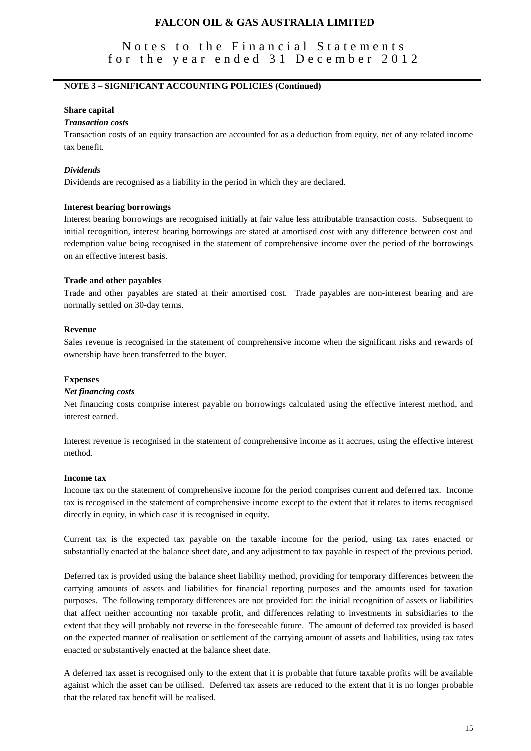# Notes to the Financial Statements for the year ended 31 December 2012

#### **NOTE 3 – SIGNIFICANT ACCOUNTING POLICIES (Continued)**

#### **Share capital**

#### *Transaction costs*

Transaction costs of an equity transaction are accounted for as a deduction from equity, net of any related income tax benefit.

#### *Dividends*

Dividends are recognised as a liability in the period in which they are declared.

#### **Interest bearing borrowings**

Interest bearing borrowings are recognised initially at fair value less attributable transaction costs. Subsequent to initial recognition, interest bearing borrowings are stated at amortised cost with any difference between cost and redemption value being recognised in the statement of comprehensive income over the period of the borrowings on an effective interest basis.

#### **Trade and other payables**

Trade and other payables are stated at their amortised cost. Trade payables are non-interest bearing and are normally settled on 30-day terms.

#### **Revenue**

Sales revenue is recognised in the statement of comprehensive income when the significant risks and rewards of ownership have been transferred to the buyer.

#### **Expenses**

#### *Net financing costs*

Net financing costs comprise interest payable on borrowings calculated using the effective interest method, and interest earned.

Interest revenue is recognised in the statement of comprehensive income as it accrues, using the effective interest method.

#### **Income tax**

Income tax on the statement of comprehensive income for the period comprises current and deferred tax. Income tax is recognised in the statement of comprehensive income except to the extent that it relates to items recognised directly in equity, in which case it is recognised in equity.

Current tax is the expected tax payable on the taxable income for the period, using tax rates enacted or substantially enacted at the balance sheet date, and any adjustment to tax payable in respect of the previous period.

Deferred tax is provided using the balance sheet liability method, providing for temporary differences between the carrying amounts of assets and liabilities for financial reporting purposes and the amounts used for taxation purposes. The following temporary differences are not provided for: the initial recognition of assets or liabilities that affect neither accounting nor taxable profit, and differences relating to investments in subsidiaries to the extent that they will probably not reverse in the foreseeable future. The amount of deferred tax provided is based on the expected manner of realisation or settlement of the carrying amount of assets and liabilities, using tax rates enacted or substantively enacted at the balance sheet date.

A deferred tax asset is recognised only to the extent that it is probable that future taxable profits will be available against which the asset can be utilised. Deferred tax assets are reduced to the extent that it is no longer probable that the related tax benefit will be realised.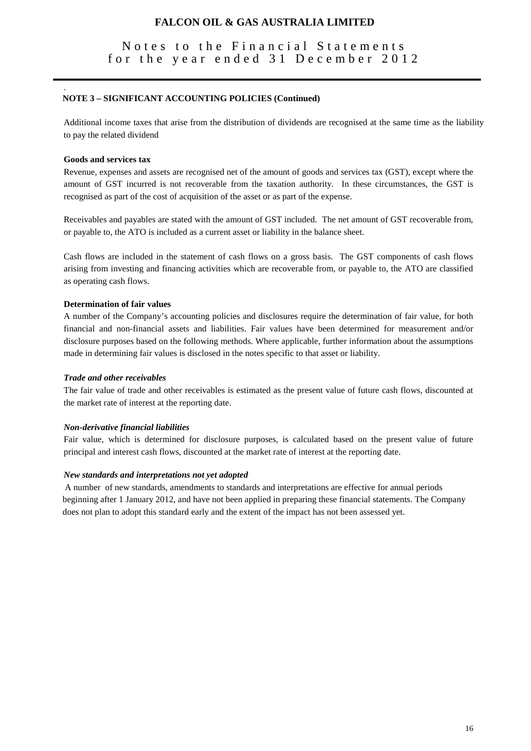Notes to the Financial Statements for the year ended 31 December 2012

#### **NOTE 3 – SIGNIFICANT ACCOUNTING POLICIES (Continued)**

Additional income taxes that arise from the distribution of dividends are recognised at the same time as the liability to pay the related dividend

#### **Goods and services tax**

.

Revenue, expenses and assets are recognised net of the amount of goods and services tax (GST), except where the amount of GST incurred is not recoverable from the taxation authority. In these circumstances, the GST is recognised as part of the cost of acquisition of the asset or as part of the expense.

Receivables and payables are stated with the amount of GST included. The net amount of GST recoverable from, or payable to, the ATO is included as a current asset or liability in the balance sheet.

Cash flows are included in the statement of cash flows on a gross basis. The GST components of cash flows arising from investing and financing activities which are recoverable from, or payable to, the ATO are classified as operating cash flows.

#### **Determination of fair values**

A number of the Company's accounting policies and disclosures require the determination of fair value, for both financial and non-financial assets and liabilities. Fair values have been determined for measurement and/or disclosure purposes based on the following methods. Where applicable, further information about the assumptions made in determining fair values is disclosed in the notes specific to that asset or liability.

#### *Trade and other receivables*

The fair value of trade and other receivables is estimated as the present value of future cash flows, discounted at the market rate of interest at the reporting date.

#### *Non-derivative financial liabilities*

Fair value, which is determined for disclosure purposes, is calculated based on the present value of future principal and interest cash flows, discounted at the market rate of interest at the reporting date.

#### *New standards and interpretations not yet adopted*

A number of new standards, amendments to standards and interpretations are effective for annual periods beginning after 1 January 2012, and have not been applied in preparing these financial statements. The Company does not plan to adopt this standard early and the extent of the impact has not been assessed yet.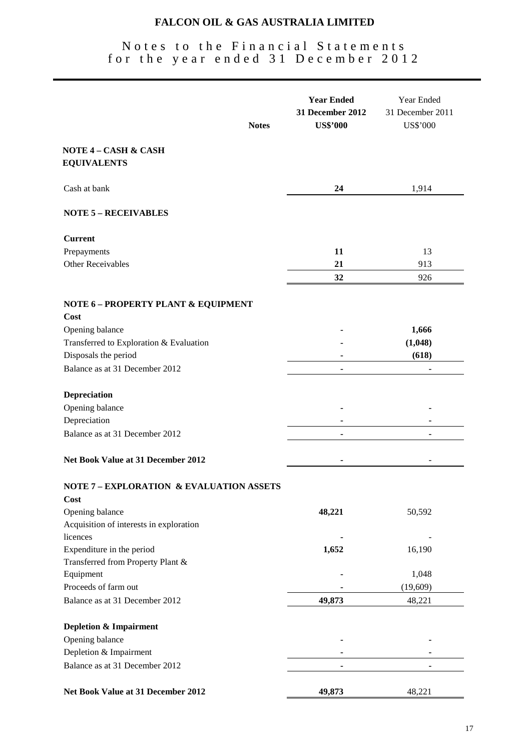# Notes to the Financial Statements for the year ended 31 December 2012

| <b>Notes</b>                                        | <b>Year Ended</b><br><b>31 December 2012</b><br><b>US\$'000</b> | Year Ended<br>31 December 2011<br>US\$'000 |
|-----------------------------------------------------|-----------------------------------------------------------------|--------------------------------------------|
| NOTE 4 - CASH & CASH<br><b>EQUIVALENTS</b>          |                                                                 |                                            |
| Cash at bank                                        | 24                                                              | 1,914                                      |
| <b>NOTE 5 - RECEIVABLES</b>                         |                                                                 |                                            |
| <b>Current</b>                                      |                                                                 |                                            |
| Prepayments                                         | 11                                                              | 13                                         |
| <b>Other Receivables</b>                            | 21                                                              | 913                                        |
|                                                     | 32                                                              | 926                                        |
| <b>NOTE 6 - PROPERTY PLANT &amp; EQUIPMENT</b>      |                                                                 |                                            |
| Cost                                                |                                                                 |                                            |
| Opening balance                                     |                                                                 | 1,666                                      |
| Transferred to Exploration & Evaluation             |                                                                 | (1,048)                                    |
| Disposals the period                                |                                                                 | (618)                                      |
| Balance as at 31 December 2012                      | ٠                                                               | ۰                                          |
|                                                     |                                                                 |                                            |
| Depreciation                                        |                                                                 |                                            |
| Opening balance                                     |                                                                 |                                            |
| Depreciation                                        |                                                                 |                                            |
| Balance as at 31 December 2012                      |                                                                 | ٠                                          |
|                                                     |                                                                 |                                            |
| Net Book Value at 31 December 2012                  |                                                                 |                                            |
| <b>NOTE 7 - EXPLORATION &amp; EVALUATION ASSETS</b> |                                                                 |                                            |
| Cost                                                |                                                                 |                                            |
| Opening balance                                     | 48,221                                                          | 50,592                                     |
| Acquisition of interests in exploration             |                                                                 |                                            |
| licences                                            |                                                                 |                                            |
| Expenditure in the period                           | 1,652                                                           | 16,190                                     |
| Transferred from Property Plant &                   |                                                                 |                                            |
| Equipment                                           |                                                                 | 1,048                                      |
| Proceeds of farm out                                |                                                                 | (19,609)                                   |
| Balance as at 31 December 2012                      | 49,873                                                          | 48,221                                     |
|                                                     |                                                                 |                                            |
| <b>Depletion &amp; Impairment</b>                   |                                                                 |                                            |
| Opening balance                                     |                                                                 |                                            |
| Depletion & Impairment                              |                                                                 |                                            |
| Balance as at 31 December 2012                      |                                                                 |                                            |
| Net Book Value at 31 December 2012                  | 49,873                                                          | 48,221                                     |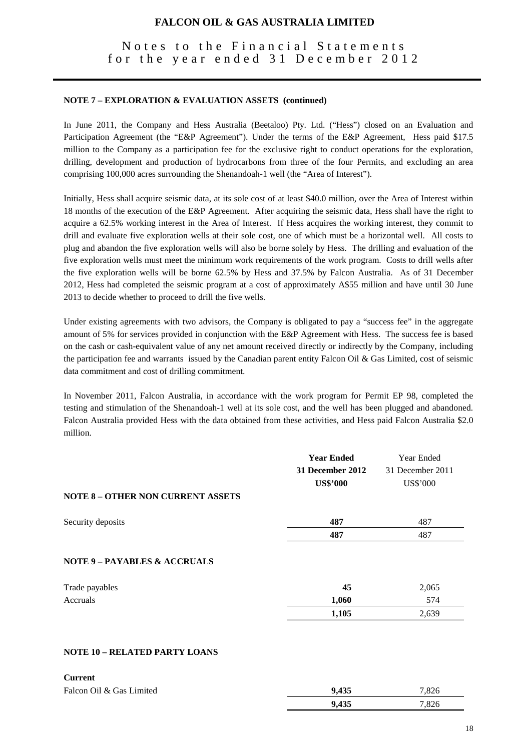Notes to the Financial Statements for the year ended 31 December 2012

#### **NOTE 7 – EXPLORATION & EVALUATION ASSETS (continued)**

In June 2011, the Company and Hess Australia (Beetaloo) Pty. Ltd. ("Hess") closed on an Evaluation and Participation Agreement (the "E&P Agreement"). Under the terms of the E&P Agreement, Hess paid \$17.5 million to the Company as a participation fee for the exclusive right to conduct operations for the exploration, drilling, development and production of hydrocarbons from three of the four Permits, and excluding an area comprising 100,000 acres surrounding the Shenandoah-1 well (the "Area of Interest").

Initially, Hess shall acquire seismic data, at its sole cost of at least \$40.0 million, over the Area of Interest within 18 months of the execution of the E&P Agreement. After acquiring the seismic data, Hess shall have the right to acquire a 62.5% working interest in the Area of Interest. If Hess acquires the working interest, they commit to drill and evaluate five exploration wells at their sole cost, one of which must be a horizontal well. All costs to plug and abandon the five exploration wells will also be borne solely by Hess. The drilling and evaluation of the five exploration wells must meet the minimum work requirements of the work program. Costs to drill wells after the five exploration wells will be borne 62.5% by Hess and 37.5% by Falcon Australia. As of 31 December 2012, Hess had completed the seismic program at a cost of approximately A\$55 million and have until 30 June 2013 to decide whether to proceed to drill the five wells.

Under existing agreements with two advisors, the Company is obligated to pay a "success fee" in the aggregate amount of 5% for services provided in conjunction with the E&P Agreement with Hess. The success fee is based on the cash or cash-equivalent value of any net amount received directly or indirectly by the Company, including the participation fee and warrants issued by the Canadian parent entity Falcon Oil & Gas Limited, cost of seismic data commitment and cost of drilling commitment.

In November 2011, Falcon Australia, in accordance with the work program for Permit EP 98, completed the testing and stimulation of the Shenandoah-1 well at its sole cost, and the well has been plugged and abandoned. Falcon Australia provided Hess with the data obtained from these activities, and Hess paid Falcon Australia \$2.0 million.

|                                          | <b>Year Ended</b> | Year Ended       |
|------------------------------------------|-------------------|------------------|
|                                          | 31 December 2012  | 31 December 2011 |
|                                          | <b>US\$'000</b>   | US\$'000         |
| <b>NOTE 8 - OTHER NON CURRENT ASSETS</b> |                   |                  |
| Security deposits                        | 487               | 487              |
|                                          | 487               | 487              |
| <b>NOTE 9 - PAYABLES &amp; ACCRUALS</b>  |                   |                  |
| Trade payables                           | 45                | 2,065            |
| Accruals                                 | 1,060             | 574              |
|                                          | 1,105             | 2,639            |
| <b>NOTE 10 - RELATED PARTY LOANS</b>     |                   |                  |
| <b>Current</b>                           |                   |                  |
| Falcon Oil & Gas Limited                 | 9,435             | 7,826            |
|                                          | 9,435             | 7,826            |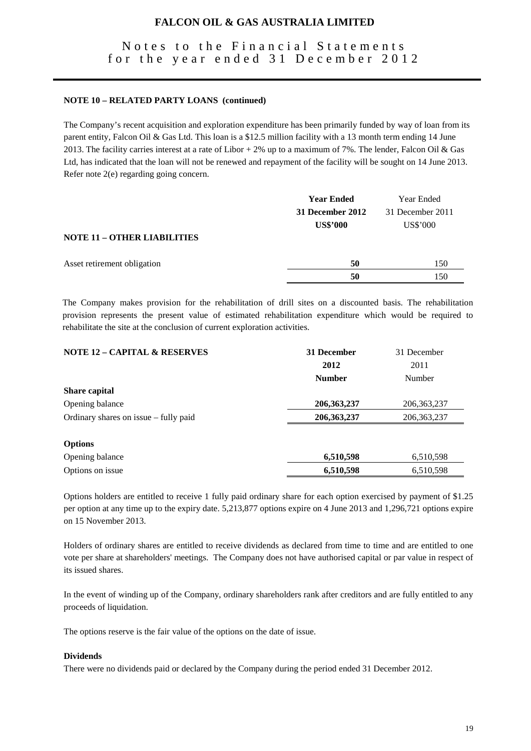# Notes to the Financial Statements for the year ended 31 December 2012

#### **NOTE 10 – RELATED PARTY LOANS (continued)**

The Company's recent acquisition and exploration expenditure has been primarily funded by way of loan from its parent entity, Falcon Oil & Gas Ltd. This loan is a \$12.5 million facility with a 13 month term ending 14 June 2013. The facility carries interest at a rate of Libor  $+2\%$  up to a maximum of 7%. The lender, Falcon Oil & Gas Ltd, has indicated that the loan will not be renewed and repayment of the facility will be sought on 14 June 2013. Refer note 2(e) regarding going concern.

|                                    | <b>Year Ended</b>                    | Year Ended      |
|------------------------------------|--------------------------------------|-----------------|
|                                    | 31 December 2012<br>31 December 2011 |                 |
|                                    | <b>US\$'000</b>                      | <b>US\$'000</b> |
| <b>NOTE 11 - OTHER LIABILITIES</b> |                                      |                 |
| Asset retirement obligation        | 50                                   | 150             |
|                                    | 50                                   | 150             |

The Company makes provision for the rehabilitation of drill sites on a discounted basis. The rehabilitation provision represents the present value of estimated rehabilitation expenditure which would be required to rehabilitate the site at the conclusion of current exploration activities.

| <b>NOTE 12 - CAPITAL &amp; RESERVES</b> | 31 December   | 31 December   |
|-----------------------------------------|---------------|---------------|
|                                         | 2012          | 2011          |
|                                         | <b>Number</b> | Number        |
| Share capital                           |               |               |
| Opening balance                         | 206, 363, 237 | 206, 363, 237 |
| Ordinary shares on issue – fully paid   | 206, 363, 237 | 206, 363, 237 |
| <b>Options</b>                          |               |               |
| Opening balance                         | 6,510,598     | 6,510,598     |
| Options on issue                        | 6,510,598     | 6,510,598     |

Options holders are entitled to receive 1 fully paid ordinary share for each option exercised by payment of \$1.25 per option at any time up to the expiry date. 5,213,877 options expire on 4 June 2013 and 1,296,721 options expire on 15 November 2013.

Holders of ordinary shares are entitled to receive dividends as declared from time to time and are entitled to one vote per share at shareholders' meetings. The Company does not have authorised capital or par value in respect of its issued shares.

In the event of winding up of the Company, ordinary shareholders rank after creditors and are fully entitled to any proceeds of liquidation.

The options reserve is the fair value of the options on the date of issue.

#### **Dividends**

There were no dividends paid or declared by the Company during the period ended 31 December 2012.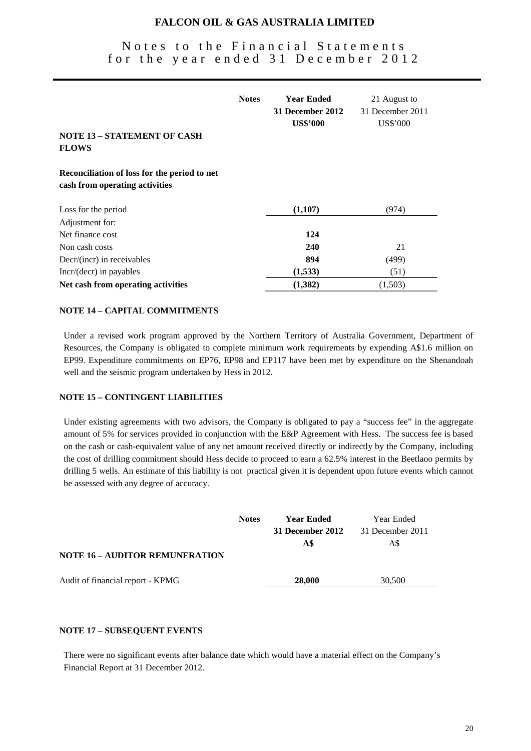# Notes to the Financial Statements for the year ended 31 December 2012

| <b>NOTE 13 - STATEMENT OF CASH</b><br><b>FLOWS</b>                             | <b>Notes</b> | <b>Year Ended</b><br>31 December 2012<br><b>US\$'000</b> | 21 August to<br>31 December 2011<br>US\$'000 |
|--------------------------------------------------------------------------------|--------------|----------------------------------------------------------|----------------------------------------------|
| Reconciliation of loss for the period to net<br>cash from operating activities |              |                                                          |                                              |
| Loss for the period<br>Adjustment for:                                         |              | (1,107)                                                  | (974)                                        |
| Net finance cost                                                               |              | 124                                                      |                                              |
| Non cash costs                                                                 |              | 240                                                      | 21                                           |
| $Decr/(incr)$ in receivables                                                   |              | 894                                                      | (499)                                        |
| $Incr/(decr)$ in payables                                                      |              | (1,533)                                                  | (51)                                         |
| Net cash from operating activities                                             |              | (1,382)                                                  | (1,503)                                      |

#### **NOTE 14 – CAPITAL COMMITMENTS**

Under a revised work program approved by the Northern Territory of Australia Government, Department of Resources, the Company is obligated to complete minimum work requirements by expending A\$1.6 million on EP99. Expenditure commitments on EP76, EP98 and EP117 have been met by expenditure on the Shenandoah well and the seismic program undertaken by Hess in 2012.

#### **NOTE 15 – CONTINGENT LIABILITIES**

Under existing agreements with two advisors, the Company is obligated to pay a "success fee" in the aggregate amount of 5% for services provided in conjunction with the E&P Agreement with Hess. The success fee is based on the cash or cash-equivalent value of any net amount received directly or indirectly by the Company, including the cost of drilling commitment should Hess decide to proceed to earn a 62.5% interest in the Beetlaoo permits by drilling 5 wells. An estimate of this liability is not practical given it is dependent upon future events which cannot be assessed with any degree of accuracy.

|                                       | <b>Notes</b> | <b>Year Ended</b> | <b>Year Ended</b> |  |
|---------------------------------------|--------------|-------------------|-------------------|--|
|                                       |              | 31 December 2012  | 31 December 2011  |  |
|                                       |              | A\$               | A\$               |  |
| <b>NOTE 16 - AUDITOR REMUNERATION</b> |              |                   |                   |  |
| Audit of financial report - KPMG      |              | 28,000            | 30,500            |  |

#### **NOTE 17 – SUBSEQUENT EVENTS**

There were no significant events after balance date which would have a material effect on the Company's Financial Report at 31 December 2012.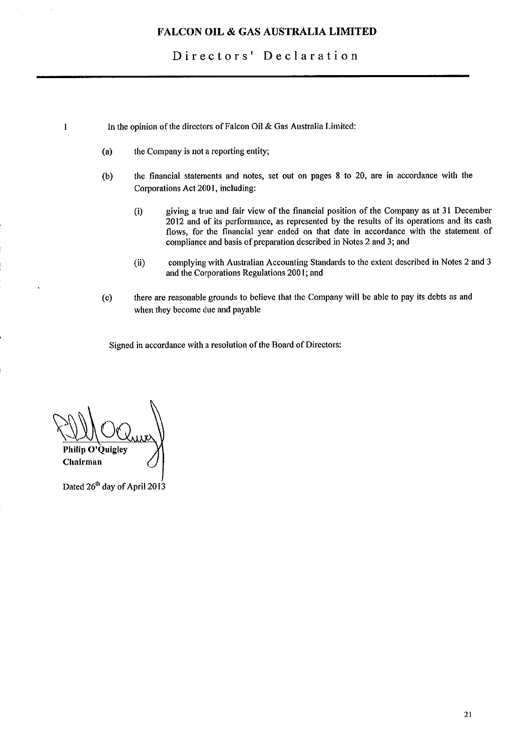Directors' Declaration

- In the opinion of the directors of Falcon Oil & Gas Australia Limited:
- $(a)$ the Company is not a reporting entity;
- the financial statements and notes, set out on pages 8 to 20, are in accordance with the  $(b)$ Corporations Act 2001, including:
	- $(i)$ giving a true and fair view of the financial position of the Company as at 31 December 2012 and of its performance, as represented by the results of its operations and its cash flows, for the financial year ended on that date in accordance with the statement of compliance and basis of preparation described in Notes 2 and 3; and
	- complying with Australian Accounting Standards to the extent described in Notes 2 and 3  $(ii)$ and the Corporations Regulations 2001; and
- there are reasonable grounds to believe that the Company will be able to pay its debts as and  $(c)$ when they become due and payable

Signed in accordance with a resolution of the Board of Directors:

Philin O 'Ouiglev

Chairman

 $\mathbf{I}$ 

Dated 26<sup>th</sup> day of April 2013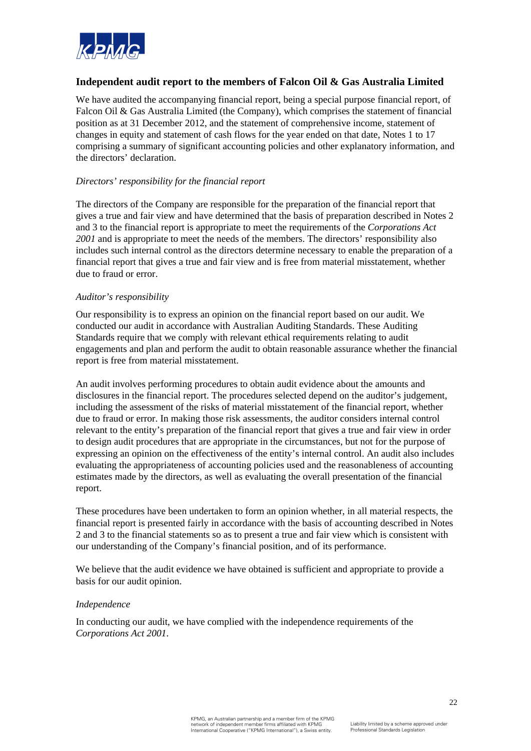

### **Independent audit report to the members of Falcon Oil & Gas Australia Limited**

We have audited the accompanying financial report, being a special purpose financial report, of Falcon Oil & Gas Australia Limited (the Company), which comprises the statement of financial position as at 31 December 2012, and the statement of comprehensive income, statement of changes in equity and statement of cash flows for the year ended on that date, Notes 1 to 17 comprising a summary of significant accounting policies and other explanatory information, and the directors' declaration.

### *Directors' responsibility for the financial report*

The directors of the Company are responsible for the preparation of the financial report that gives a true and fair view and have determined that the basis of preparation described in Notes 2 and 3 to the financial report is appropriate to meet the requirements of the *Corporations Act*  2001 and is appropriate to meet the needs of the members. The directors' responsibility also includes such internal control as the directors determine necessary to enable the preparation of a financial report that gives a true and fair view and is free from material misstatement, whether due to fraud or error.

#### *Auditor's responsibility*

Our responsibility is to express an opinion on the financial report based on our audit. We conducted our audit in accordance with Australian Auditing Standards. These Auditing Standards require that we comply with relevant ethical requirements relating to audit engagements and plan and perform the audit to obtain reasonable assurance whether the financial report is free from material misstatement.

An audit involves performing procedures to obtain audit evidence about the amounts and disclosures in the financial report. The procedures selected depend on the auditor's judgement, including the assessment of the risks of material misstatement of the financial report, whether due to fraud or error. In making those risk assessments, the auditor considers internal control relevant to the entity's preparation of the financial report that gives a true and fair view in order to design audit procedures that are appropriate in the circumstances, but not for the purpose of expressing an opinion on the effectiveness of the entity's internal control. An audit also includes evaluating the appropriateness of accounting policies used and the reasonableness of accounting estimates made by the directors, as well as evaluating the overall presentation of the financial report.

These procedures have been undertaken to form an opinion whether, in all material respects, the financial report is presented fairly in accordance with the basis of accounting described in Notes 2 and 3 to the financial statements so as to present a true and fair view which is consistent with our understanding of the Company's financial position, and of its performance.

We believe that the audit evidence we have obtained is sufficient and appropriate to provide a basis for our audit opinion.

#### *Independence*

In conducting our audit, we have complied with the independence requirements of the *Corporations Act 2001*.